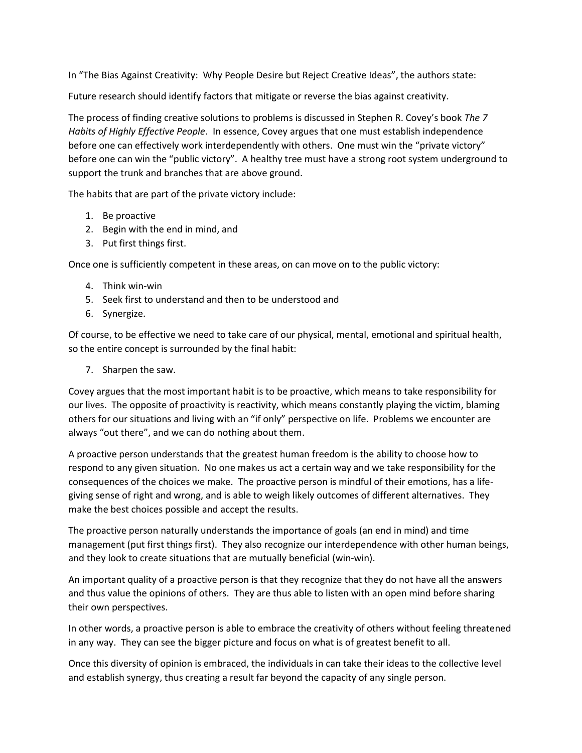In "The Bias Against Creativity: Why People Desire but Reject Creative Ideas", the authors state:

Future research should identify factors that mitigate or reverse the bias against creativity.

The process of finding creative solutions to problems is discussed in Stephen R. Covey's book The 7 Habits of Highly Effective People. In essence, Covey argues that one must establish independence before one can effectively work interdependently with others. One must win the "private victory" before one can win the "public victory". A healthy tree must have a strong root system underground to support the trunk and branches that are above ground.

The habits that are part of the private victory include:

- 1. Be proactive
- 2. Begin with the end in mind, and
- 3. Put first things first.

Once one is sufficiently competent in these areas, on can move on to the public victory:

- 4. Think win-win
- 5. Seek first to understand and then to be understood and
- 6. Synergize.

Of course, to be effective we need to take care of our physical, mental, emotional and spiritual health, so the entire concept is surrounded by the final habit:

7. Sharpen the saw.

Covey argues that the most important habit is to be proactive, which means to take responsibility for our lives. The opposite of proactivity is reactivity, which means constantly playing the victim, blaming others for our situations and living with an "if only" perspective on life. Problems we encounter are always "out there", and we can do nothing about them.

A proactive person understands that the greatest human freedom is the ability to choose how to respond to any given situation. No one makes us act a certain way and we take responsibility for the consequences of the choices we make. The proactive person is mindful of their emotions, has a lifegiving sense of right and wrong, and is able to weigh likely outcomes of different alternatives. They make the best choices possible and accept the results.

The proactive person naturally understands the importance of goals (an end in mind) and time management (put first things first). They also recognize our interdependence with other human beings, and they look to create situations that are mutually beneficial (win-win).

An important quality of a proactive person is that they recognize that they do not have all the answers and thus value the opinions of others. They are thus able to listen with an open mind before sharing their own perspectives.

In other words, a proactive person is able to embrace the creativity of others without feeling threatened in any way. They can see the bigger picture and focus on what is of greatest benefit to all.

Once this diversity of opinion is embraced, the individuals in can take their ideas to the collective level and establish synergy, thus creating a result far beyond the capacity of any single person.